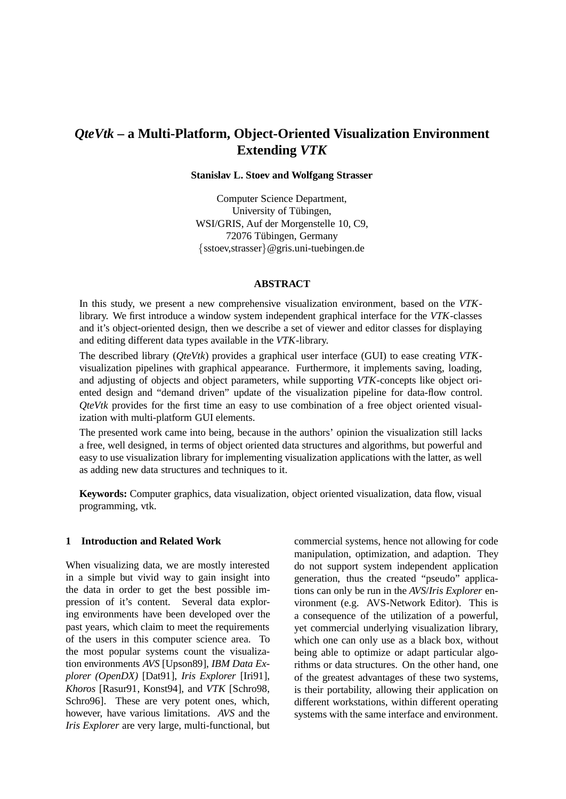# *QteVtk* **– a Multi-Platform, Object-Oriented Visualization Environment Extending** *VTK*

#### **Stanislav L. Stoev and Wolfgang Strasser**

Computer Science Department, University of Tübingen, WSI/GRIS, Auf der Morgenstelle 10, C9, 72076 Tübingen, Germany  $\{sstoev, strasser\}$ @gris.uni-tuebingen.de

## **ABSTRACT**

In this study, we present a new comprehensive visualization environment, based on the *VTK*library. We first introduce a window system independent graphical interface for the *VTK*-classes and it's object-oriented design, then we describe a set of viewer and editor classes for displaying and editing different data types available in the *VTK*-library.

The described library (*QteVtk*) provides a graphical user interface (GUI) to ease creating *VTK*visualization pipelines with graphical appearance. Furthermore, it implements saving, loading, and adjusting of objects and object parameters, while supporting *VTK*-concepts like object oriented design and "demand driven" update of the visualization pipeline for data-flow control. *QteVtk* provides for the first time an easy to use combination of a free object oriented visualization with multi-platform GUI elements.

The presented work came into being, because in the authors' opinion the visualization still lacks a free, well designed, in terms of object oriented data structures and algorithms, but powerful and easy to use visualization library for implementing visualization applications with the latter, as well as adding new data structures and techniques to it.

**Keywords:** Computer graphics, data visualization, object oriented visualization, data flow, visual programming, vtk.

## **1 Introduction and Related Work**

When visualizing data, we are mostly interested in a simple but vivid way to gain insight into the data in order to get the best possible impression of it's content. Several data exploring environments have been developed over the past years, which claim to meet the requirements of the users in this computer science area. To the most popular systems count the visualization environments *AVS* [Upson89], *IBM Data Explorer (OpenDX)* [Dat91], *Iris Explorer* [Iri91], *Khoros* [Rasur91, Konst94], and *VTK* [Schro98, Schro96]. These are very potent ones, which, however, have various limitations. *AVS* and the *Iris Explorer* are very large, multi-functional, but commercial systems, hence not allowing for code manipulation, optimization, and adaption. They do not support system independent application generation, thus the created "pseudo" applications can only be run in the *AVS*/*Iris Explorer* environment (e.g. AVS-Network Editor). This is a consequence of the utilization of a powerful, yet commercial underlying visualization library, which one can only use as a black box, without being able to optimize or adapt particular algorithms or data structures. On the other hand, one of the greatest advantages of these two systems, is their portability, allowing their application on different workstations, within different operating systems with the same interface and environment.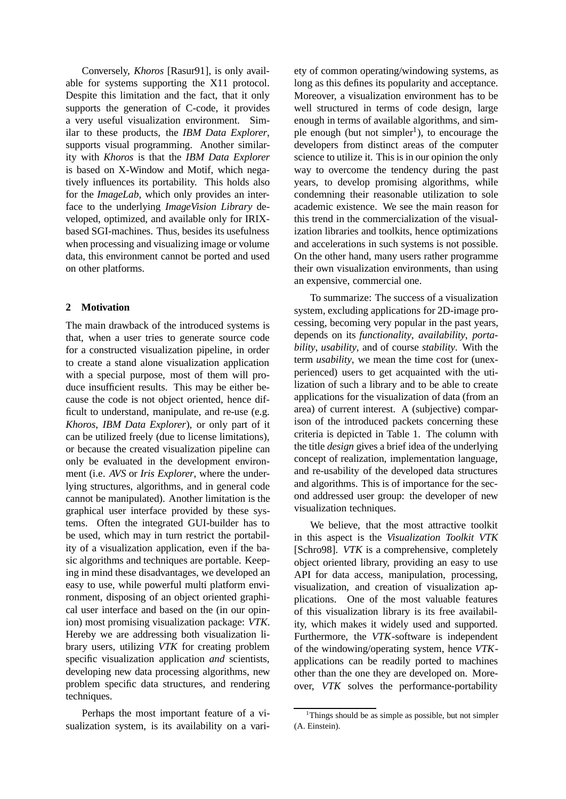Conversely, *Khoros* [Rasur91], is only available for systems supporting the X11 protocol. Despite this limitation and the fact, that it only supports the generation of C-code, it provides a very useful visualization environment. Similar to these products, the *IBM Data Explorer*, supports visual programming. Another similarity with *Khoros* is that the *IBM Data Explorer* is based on X-Window and Motif, which negatively influences its portability. This holds also for the *ImageLab*, which only provides an interface to the underlying *ImageVision Library* developed, optimized, and available only for IRIXbased SGI-machines. Thus, besides its usefulness when processing and visualizing image or volume data, this environment cannot be ported and used on other platforms.

### **2 Motivation**

The main drawback of the introduced systems is that, when a user tries to generate source code for a constructed visualization pipeline, in order to create a stand alone visualization application with a special purpose, most of them will produce insufficient results. This may be either because the code is not object oriented, hence difficult to understand, manipulate, and re-use (e.g. *Khoros*, *IBM Data Explorer*), or only part of it can be utilized freely (due to license limitations), or because the created visualization pipeline can only be evaluated in the development environment (i.e. *AVS* or *Iris Explorer*, where the underlying structures, algorithms, and in general code cannot be manipulated). Another limitation is the graphical user interface provided by these systems. Often the integrated GUI-builder has to be used, which may in turn restrict the portability of a visualization application, even if the basic algorithms and techniques are portable. Keeping in mind these disadvantages, we developed an easy to use, while powerful multi platform environment, disposing of an object oriented graphical user interface and based on the (in our opinion) most promising visualization package: *VTK*. Hereby we are addressing both visualization library users, utilizing *VTK* for creating problem specific visualization application *and* scientists, developing new data processing algorithms, new problem specific data structures, and rendering techniques.

Perhaps the most important feature of a visualization system, is its availability on a variety of common operating/windowing systems, as long as this defines its popularity and acceptance. Moreover, a visualization environment has to be well structured in terms of code design, large enough in terms of available algorithms, and simple enough (but not simpler<sup>1</sup>), to encourage the developers from distinct areas of the computer science to utilize it. This is in our opinion the only way to overcome the tendency during the past years, to develop promising algorithms, while condemning their reasonable utilization to sole academic existence. We see the main reason for this trend in the commercialization of the visualization libraries and toolkits, hence optimizations and accelerations in such systems is not possible. On the other hand, many users rather programme their own visualization environments, than using an expensive, commercial one.

To summarize: The success of a visualization system, excluding applications for 2D-image processing, becoming very popular in the past years, depends on its *functionality*, *availability*, *portability*, *usability*, and of course *stability*. With the term *usability*, we mean the time cost for (unexperienced) users to get acquainted with the utilization of such a library and to be able to create applications for the visualization of data (from an area) of current interest. A (subjective) comparison of the introduced packets concerning these criteria is depicted in Table 1. The column with the title *design* gives a brief idea of the underlying concept of realization, implementation language, and re-usability of the developed data structures and algorithms. This is of importance for the second addressed user group: the developer of new visualization techniques.

We believe, that the most attractive toolkit in this aspect is the *Visualization Toolkit VTK* [Schro98]. *VTK* is a comprehensive, completely object oriented library, providing an easy to use API for data access, manipulation, processing, visualization, and creation of visualization applications. One of the most valuable features of this visualization library is its free availability, which makes it widely used and supported. Furthermore, the *VTK*-software is independent of the windowing/operating system, hence *VTK*applications can be readily ported to machines other than the one they are developed on. Moreover, *VTK* solves the performance-portability

<sup>&</sup>lt;sup>1</sup>Things should be as simple as possible, but not simpler (A. Einstein).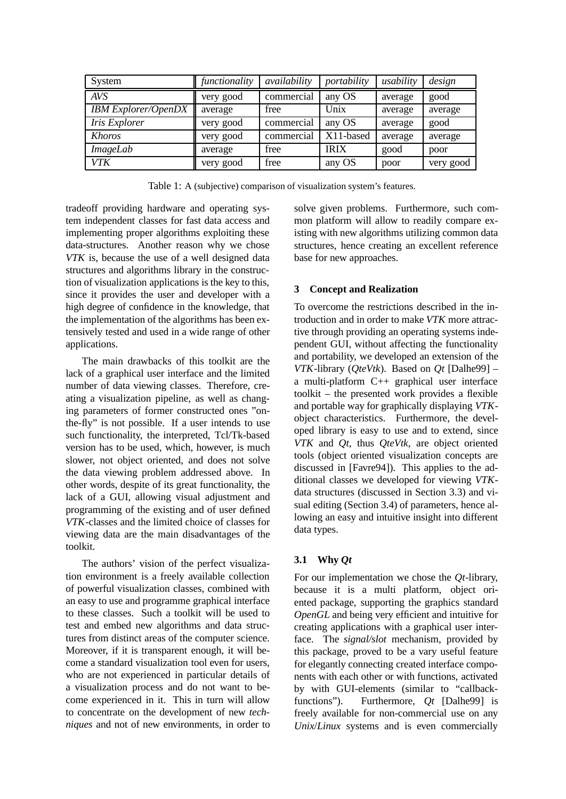| System                     | functionality | availability | portability | usability | design    |
|----------------------------|---------------|--------------|-------------|-----------|-----------|
| <b>AVS</b>                 | very good     | commercial   | any OS      | average   | good      |
| <b>IBM Explorer/OpenDX</b> | average       | free         | Unix        | average   | average   |
| Iris Explorer              | very good     | commercial   | any OS      | average   | good      |
| Khoros                     | very good     | commercial   | X11-based   | average   | average   |
| <i>ImageLab</i>            | average       | free         | <b>IRIX</b> | good      | poor      |
| VTK                        | very good     | free         | any OS      | poor      | very good |

Table 1: A (subjective) comparison of visualization system's features.

tradeoff providing hardware and operating system independent classes for fast data access and implementing proper algorithms exploiting these data-structures. Another reason why we chose *VTK* is, because the use of a well designed data structures and algorithms library in the construction of visualization applications is the key to this, since it provides the user and developer with a high degree of confidence in the knowledge, that the implementation of the algorithms has been extensively tested and used in a wide range of other applications.

The main drawbacks of this toolkit are the lack of a graphical user interface and the limited number of data viewing classes. Therefore, creating a visualization pipeline, as well as changing parameters of former constructed ones "onthe-fly" is not possible. If a user intends to use such functionality, the interpreted, Tcl/Tk-based version has to be used, which, however, is much slower, not object oriented, and does not solve the data viewing problem addressed above. In other words, despite of its great functionality, the lack of a GUI, allowing visual adjustment and programming of the existing and of user defined *VTK*-classes and the limited choice of classes for viewing data are the main disadvantages of the toolkit.

The authors' vision of the perfect visualization environment is a freely available collection of powerful visualization classes, combined with an easy to use and programme graphical interface to these classes. Such a toolkit will be used to test and embed new algorithms and data structures from distinct areas of the computer science. Moreover, if it is transparent enough, it will become a standard visualization tool even for users, who are not experienced in particular details of a visualization process and do not want to become experienced in it. This in turn will allow to concentrate on the development of new *techniques* and not of new environments, in order to solve given problems. Furthermore, such common platform will allow to readily compare existing with new algorithms utilizing common data structures, hence creating an excellent reference base for new approaches.

# **3 Concept and Realization**

To overcome the restrictions described in the introduction and in order to make *VTK* more attractive through providing an operating systems independent GUI, without affecting the functionality and portability, we developed an extension of the *VTK*-library (*QteVtk*). Based on *Qt* [Dalhe99] – a multi-platform C++ graphical user interface toolkit – the presented work provides a flexible and portable way for graphically displaying *VTK*object characteristics. Furthermore, the developed library is easy to use and to extend, since *VTK* and *Qt*, thus *QteVtk*, are object oriented tools (object oriented visualization concepts are discussed in [Favre94]). This applies to the additional classes we developed for viewing *VTK*data structures (discussed in Section 3.3) and visual editing (Section 3.4) of parameters, hence allowing an easy and intuitive insight into different data types.

# **3.1 Why** *Qt*

For our implementation we chose the *Qt*-library, because it is a multi platform, object oriented package, supporting the graphics standard *OpenGL* and being very efficient and intuitive for creating applications with a graphical user interface. The *signal/slot* mechanism, provided by this package, proved to be a vary useful feature for elegantly connecting created interface components with each other or with functions, activated by with GUI-elements (similar to "callbackfunctions"). Furthermore, *Qt* [Dalhe99] is freely available for non-commercial use on any *Unix*/*Linux* systems and is even commercially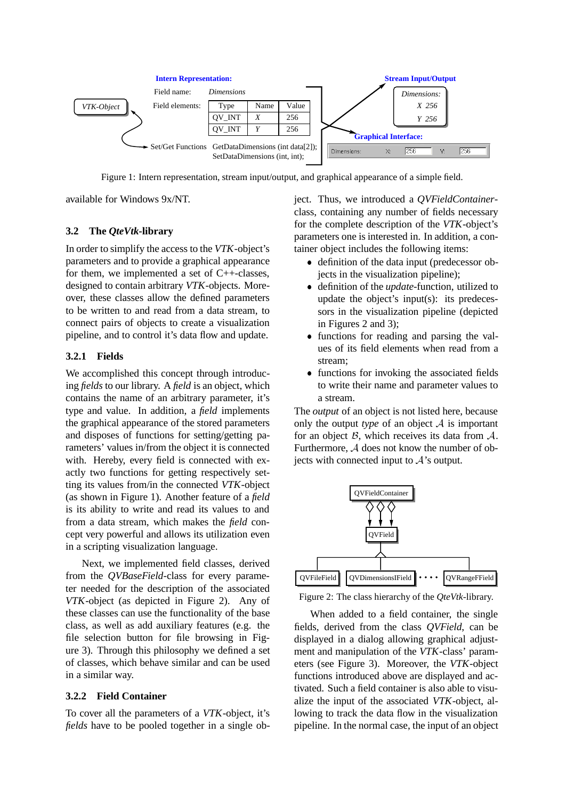

Figure 1: Intern representation, stream input/output, and graphical appearance of a simple field.

available for Windows 9x/NT.

## **3.2 The** *QteVtk***-library**

In order to simplify the access to the *VTK*-object's parameters and to provide a graphical appearance for them, we implemented a set of  $C++-classes$ . designed to contain arbitrary *VTK*-objects. Moreover, these classes allow the defined parameters to be written to and read from a data stream, to connect pairs of objects to create a visualization pipeline, and to control it's data flow and update.

# **3.2.1 Fields**

We accomplished this concept through introducing *fields* to our library. A *field* is an object, which contains the name of an arbitrary parameter, it's type and value. In addition, a *field* implements the graphical appearance of the stored parameters and disposes of functions for setting/getting parameters' values in/from the object it is connected with. Hereby, every field is connected with exactly two functions for getting respectively setting its values from/in the connected *VTK*-object (as shown in Figure 1). Another feature of a *field* is its ability to write and read its values to and from a data stream, which makes the *field* concept very powerful and allows its utilization even in a scripting visualization language.

Next, we implemented field classes, derived from the *QVBaseField*-class for every parameter needed for the description of the associated *VTK*-object (as depicted in Figure 2). Any of these classes can use the functionality of the base class, as well as add auxiliary features (e.g. the file selection button for file browsing in Figure 3). Through this philosophy we defined a set of classes, which behave similar and can be used in a similar way.

## **3.2.2 Field Container**

To cover all the parameters of a *VTK*-object, it's *fields* have to be pooled together in a single object. Thus, we introduced a *QVFieldContainer*class, containing any number of fields necessary for the complete description of the *VTK*-object's parameters one is interested in. In addition, a container object includes the following items:

- definition of the data input (predecessor objects in the visualization pipeline);
- definition of the *update*-function, utilized to update the object's input(s): its predecessors in the visualization pipeline (depicted in Figures 2 and 3);
- functions for reading and parsing the values of its field elements when read from a stream;
- functions for invoking the associated fields to write their name and parameter values to a stream.

The *output* of an object is not listed here, because only the output *type* of an object  $A$  is important for an object  $\beta$ , which receives its data from  $\mathcal{A}$ . Furthermore, <sup>A</sup> does not know the number of objects with connected input to  $A$ 's output.



Figure 2: The class hierarchy of the *QteVtk*-library.

When added to a field container, the single fields, derived from the class *QVField*, can be displayed in a dialog allowing graphical adjustment and manipulation of the *VTK*-class' parameters (see Figure 3). Moreover, the *VTK*-object functions introduced above are displayed and activated. Such a field container is also able to visualize the input of the associated *VTK*-object, allowing to track the data flow in the visualization pipeline. In the normal case, the input of an object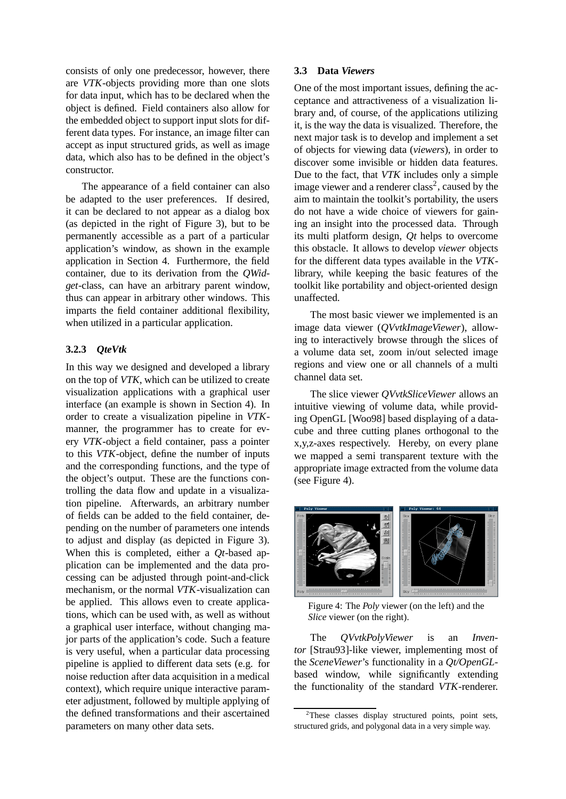consists of only one predecessor, however, there are *VTK*-objects providing more than one slots for data input, which has to be declared when the object is defined. Field containers also allow for the embedded object to support input slots for different data types. For instance, an image filter can accept as input structured grids, as well as image data, which also has to be defined in the object's constructor.

The appearance of a field container can also be adapted to the user preferences. If desired, it can be declared to not appear as a dialog box (as depicted in the right of Figure 3), but to be permanently accessible as a part of a particular application's window, as shown in the example application in Section 4. Furthermore, the field container, due to its derivation from the *QWidget*-class, can have an arbitrary parent window, thus can appear in arbitrary other windows. This imparts the field container additional flexibility, when utilized in a particular application.

#### **3.2.3** *QteVtk*

In this way we designed and developed a library on the top of *VTK*, which can be utilized to create visualization applications with a graphical user interface (an example is shown in Section 4). In order to create a visualization pipeline in *VTK*manner, the programmer has to create for every *VTK*-object a field container, pass a pointer to this *VTK*-object, define the number of inputs and the corresponding functions, and the type of the object's output. These are the functions controlling the data flow and update in a visualization pipeline. Afterwards, an arbitrary number of fields can be added to the field container, depending on the number of parameters one intends to adjust and display (as depicted in Figure 3). When this is completed, either a *Qt*-based application can be implemented and the data processing can be adjusted through point-and-click mechanism, or the normal *VTK*-visualization can be applied. This allows even to create applications, which can be used with, as well as without a graphical user interface, without changing major parts of the application's code. Such a feature is very useful, when a particular data processing pipeline is applied to different data sets (e.g. for noise reduction after data acquisition in a medical context), which require unique interactive parameter adjustment, followed by multiple applying of the defined transformations and their ascertained parameters on many other data sets.

#### **3.3 Data** *Viewers*

One of the most important issues, defining the acceptance and attractiveness of a visualization library and, of course, of the applications utilizing it, is the way the data is visualized. Therefore, the next major task is to develop and implement a set of objects for viewing data (*viewers*), in order to discover some invisible or hidden data features. Due to the fact, that *VTK* includes only a simple image viewer and a renderer class<sup>2</sup>, caused by the aim to maintain the toolkit's portability, the users do not have a wide choice of viewers for gaining an insight into the processed data. Through its multi platform design, *Qt* helps to overcome this obstacle. It allows to develop *viewer* objects for the different data types available in the *VTK*library, while keeping the basic features of the toolkit like portability and object-oriented design unaffected.

The most basic viewer we implemented is an image data viewer (*QVvtkImageViewer*), allowing to interactively browse through the slices of a volume data set, zoom in/out selected image regions and view one or all channels of a multi channel data set.

The slice viewer *QVvtkSliceViewer* allows an intuitive viewing of volume data, while providing OpenGL [Woo98] based displaying of a datacube and three cutting planes orthogonal to the x,y,z-axes respectively. Hereby, on every plane we mapped a semi transparent texture with the appropriate image extracted from the volume data (see Figure 4).



Figure 4: The *Poly* viewer (on the left) and the *Slice* viewer (on the right).

The *QVvtkPolyViewer* is an *Inventor* [Strau93]-like viewer, implementing most of the *SceneViewer*'s functionality in a *Qt/OpenGL*based window, while significantly extending the functionality of the standard *VTK*-renderer.

<sup>&</sup>lt;sup>2</sup>These classes display structured points, point sets, structured grids, and polygonal data in a very simple way.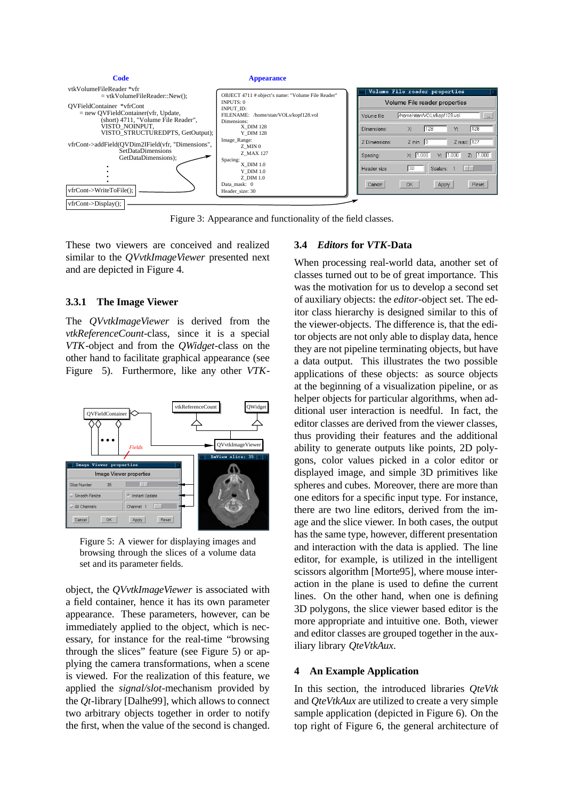

Figure 3: Appearance and functionality of the field classes.

These two viewers are conceived and realized similar to the *QVvtkImageViewer* presented next and are depicted in Figure 4.

### **3.3.1 The Image Viewer**

The *QVvtkImageViewer* is derived from the *vtkReferenceCount*-class, since it is a special *VTK*-object and from the *QWidget*-class on the other hand to facilitate graphical appearance (see Figure 5). Furthermore, like any other *VTK*-



Figure 5: A viewer for displaying images and browsing through the slices of a volume data set and its parameter fields.

object, the *QVvtkImageViewer* is associated with a field container, hence it has its own parameter appearance. These parameters, however, can be immediately applied to the object, which is necessary, for instance for the real-time "browsing through the slices" feature (see Figure 5) or applying the camera transformations, when a scene is viewed. For the realization of this feature, we applied the *signal/slot*-mechanism provided by the *Qt*-library [Dalhe99], which allows to connect two arbitrary objects together in order to notify the first, when the value of the second is changed.

### **3.4** *Editors* **for** *VTK***-Data**

When processing real-world data, another set of classes turned out to be of great importance. This was the motivation for us to develop a second set of auxiliary objects: the *editor*-object set. The editor class hierarchy is designed similar to this of the viewer-objects. The difference is, that the editor objects are not only able to display data, hence they are not pipeline terminating objects, but have a data output. This illustrates the two possible applications of these objects: as source objects at the beginning of a visualization pipeline, or as helper objects for particular algorithms, when additional user interaction is needful. In fact, the editor classes are derived from the viewer classes, thus providing their features and the additional ability to generate outputs like points, 2D polygons, color values picked in a color editor or displayed image, and simple 3D primitives like spheres and cubes. Moreover, there are more than one editors for a specific input type. For instance, there are two line editors, derived from the image and the slice viewer. In both cases, the output has the same type, however, different presentation and interaction with the data is applied. The line editor, for example, is utilized in the intelligent scissors algorithm [Morte95], where mouse interaction in the plane is used to define the current lines. On the other hand, when one is defining 3D polygons, the slice viewer based editor is the more appropriate and intuitive one. Both, viewer and editor classes are grouped together in the auxiliary library *QteVtkAux*.

#### **4 An Example Application**

In this section, the introduced libraries *QteVtk* and *QteVtkAux* are utilized to create a very simple sample application (depicted in Figure 6). On the top right of Figure 6, the general architecture of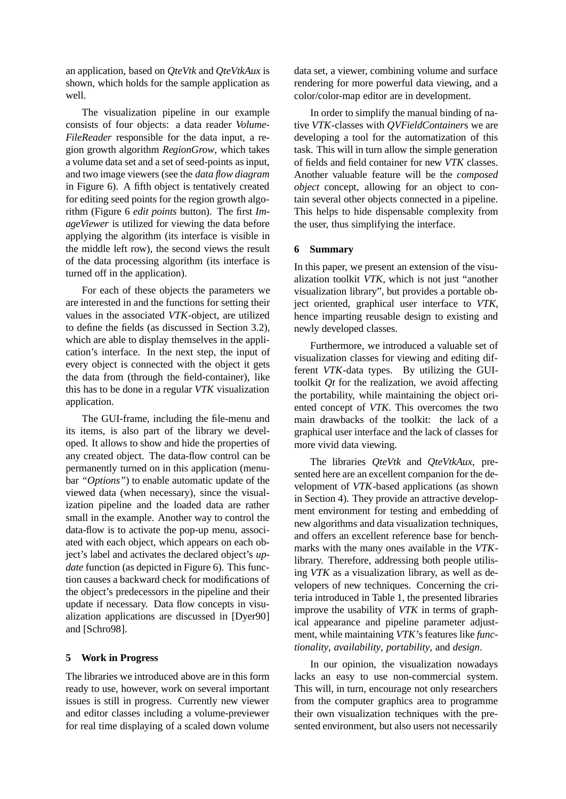an application, based on *QteVtk* and *QteVtkAux* is shown, which holds for the sample application as well.

The visualization pipeline in our example consists of four objects: a data reader *Volume-FileReader* responsible for the data input, a region growth algorithm *RegionGrow*, which takes a volume data set and a set of seed-points as input, and two image viewers (see the *data flow diagram* in Figure 6). A fifth object is tentatively created for editing seed points for the region growth algorithm (Figure 6 *edit points* button). The first *ImageViewer* is utilized for viewing the data before applying the algorithm (its interface is visible in the middle left row), the second views the result of the data processing algorithm (its interface is turned off in the application).

For each of these objects the parameters we are interested in and the functions for setting their values in the associated *VTK*-object, are utilized to define the fields (as discussed in Section 3.2), which are able to display themselves in the application's interface. In the next step, the input of every object is connected with the object it gets the data from (through the field-container), like this has to be done in a regular *VTK* visualization application.

The GUI-frame, including the file-menu and its items, is also part of the library we developed. It allows to show and hide the properties of any created object. The data-flow control can be permanently turned on in this application (menubar *"Options"*) to enable automatic update of the viewed data (when necessary), since the visualization pipeline and the loaded data are rather small in the example. Another way to control the data-flow is to activate the pop-up menu, associated with each object, which appears on each object's label and activates the declared object's *update* function (as depicted in Figure 6). This function causes a backward check for modifications of the object's predecessors in the pipeline and their update if necessary. Data flow concepts in visualization applications are discussed in [Dyer90] and [Schro98].

## **5 Work in Progress**

The libraries we introduced above are in this form ready to use, however, work on several important issues is still in progress. Currently new viewer and editor classes including a volume-previewer for real time displaying of a scaled down volume data set, a viewer, combining volume and surface rendering for more powerful data viewing, and a color/color-map editor are in development.

In order to simplify the manual binding of native *VTK*-classes with *QVFieldContainer*s we are developing a tool for the automatization of this task. This will in turn allow the simple generation of fields and field container for new *VTK* classes. Another valuable feature will be the *composed object* concept, allowing for an object to contain several other objects connected in a pipeline. This helps to hide dispensable complexity from the user, thus simplifying the interface.

#### **6 Summary**

In this paper, we present an extension of the visualization toolkit *VTK*, which is not just "another visualization library", but provides a portable object oriented, graphical user interface to *VTK*, hence imparting reusable design to existing and newly developed classes.

Furthermore, we introduced a valuable set of visualization classes for viewing and editing different *VTK*-data types. By utilizing the GUItoolkit *Qt* for the realization, we avoid affecting the portability, while maintaining the object oriented concept of *VTK*. This overcomes the two main drawbacks of the toolkit: the lack of a graphical user interface and the lack of classes for more vivid data viewing.

The libraries *QteVtk* and *QteVtkAux*, presented here are an excellent companion for the development of *VTK*-based applications (as shown in Section 4). They provide an attractive development environment for testing and embedding of new algorithms and data visualization techniques, and offers an excellent reference base for benchmarks with the many ones available in the *VTK*library. Therefore, addressing both people utilising *VTK* as a visualization library, as well as developers of new techniques. Concerning the criteria introduced in Table 1, the presented libraries improve the usability of *VTK* in terms of graphical appearance and pipeline parameter adjustment, while maintaining *VTK*'s features like *functionality*, *availability*, *portability*, and *design*.

In our opinion, the visualization nowadays lacks an easy to use non-commercial system. This will, in turn, encourage not only researchers from the computer graphics area to programme their own visualization techniques with the presented environment, but also users not necessarily